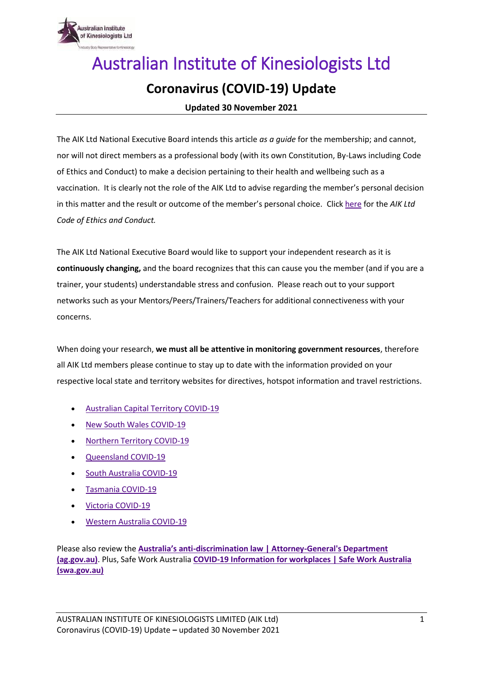

## Australian Institute of Kinesiologists Ltd **Coronavirus (COVID-19) Update**

**Updated 30 November 2021**

The AIK Ltd National Executive Board intends this article *as a guide* for the membership; and cannot, nor will not direct members as a professional body (with its own Constitution, By-Laws including Code of Ethics and Conduct) to make a decision pertaining to their health and wellbeing such as a vaccination. It is clearly not the role of the AIK Ltd to advise regarding the member's personal decision in this matter and the result or outcome of the member's personal choice. Click [here](https://www.aik.org.au/files/AIK%20Ltd%20Code%20of%20Ethics%20and%20Conduct%20September%202020.pdf) for the *AIK Ltd Code of Ethics and Conduct.* 

The AIK Ltd National Executive Board would like to support your independent research as it is **continuously changing,** and the board recognizes that this can cause you the member (and if you are a trainer, your students) understandable stress and confusion. Please reach out to your support networks such as your Mentors/Peers/Trainers/Teachers for additional connectiveness with your concerns.

When doing your research, **we must all be attentive in monitoring government resources**, therefore all AIK Ltd members please continue to stay up to date with the information provided on your respective local state and territory websites for directives, hotspot information and travel restrictions.

- [Australian Capital Territory COVID-19](https://www.covid19.act.gov.au/)
- [New South Wales COVID-19](https://www.nsw.gov.au/covid-19)
- [Northern Territory](https://coronavirus.nt.gov.au/) COVID-19
- [Queensland](https://www.covid19.qld.gov.au/) COVID-19
- [South Australia](https://www.covid-19.sa.gov.au/) COVID-19
- Tasmania [COVID-19](https://coronavirus.tas.gov.au/)
- Victoria [COVID-19](https://www.dhhs.vic.gov.au/coronavirus)
- [Western Australia](https://www.wa.gov.au/government/covid-19-coronavirus) COVID-19

Please also review the **Australia's anti[-discrimination law | Attorney-General's Department](https://www.ag.gov.au/rights-and-protections/human-rights-and-anti-discrimination/australias-anti-discrimination-law)  [\(ag.gov.au\)](https://www.ag.gov.au/rights-and-protections/human-rights-and-anti-discrimination/australias-anti-discrimination-law)**. Plus, Safe Work Australia **[COVID-19 Information for workplaces | Safe Work Australia](https://covid19.swa.gov.au/covid-19-information-workplaces)  [\(swa.gov.au\)](https://covid19.swa.gov.au/covid-19-information-workplaces)**